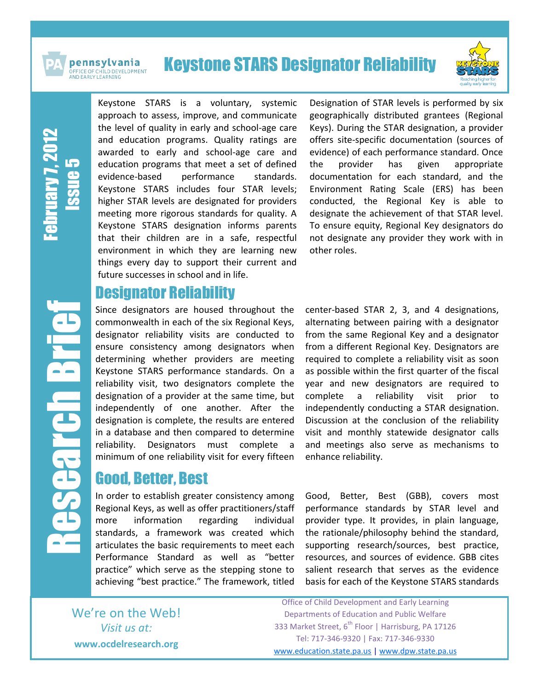

pennsylvania **OFFICE OF CHILD DEVELOPMENT<br>AND EARLY LEARNING** 

# Keystone STARS Designator Reliability



**February** 7, 2012 Issue LS

Research Brief

**Barch Br** 

Keystone STARS is a voluntary, systemic approach to assess, improve, and communicate the level of quality in early and school-age care and education programs. Quality ratings are awarded to early and school-age care and education programs that meet a set of defined evidence-based performance standards. Keystone STARS includes four STAR levels; higher STAR levels are designated for providers meeting more rigorous standards for quality. A Keystone STARS designation informs parents that their children are in a safe, respectful environment in which they are learning new things every day to support their current and future successes in school and in life.

#### Designator Reliability

Since designators are housed throughout the commonwealth in each of the six Regional Keys, designator reliability visits are conducted to ensure consistency among designators when determining whether providers are meeting Keystone STARS performance standards. On a reliability visit, two designators complete the designation of a provider at the same time, but independently of one another. After the designation is complete, the results are entered in a database and then compared to determine reliability. Designators must complete a minimum of one reliability visit for every fifteen

### Good, Better, Best

In order to establish greater consistency among Regional Keys, as well as offer practitioners/staff more information regarding individual standards, a framework was created which articulates the basic requirements to meet each Performance Standard as well as "better practice" which serve as the stepping stone to achieving "best practice." The framework, titled Designation of STAR levels is performed by six geographically distributed grantees (Regional Keys). During the STAR designation, a provider offers site-specific documentation (sources of evidence) of each performance standard. Once the provider has given appropriate documentation for each standard, and the Environment Rating Scale (ERS) has been conducted, the Regional Key is able to designate the achievement of that STAR level. To ensure equity, Regional Key designators do not designate any provider they work with in other roles.

center-based STAR 2, 3, and 4 designations, alternating between pairing with a designator from the same Regional Key and a designator from a different Regional Key. Designators are required to complete a reliability visit as soon as possible within the first quarter of the fiscal year and new designators are required to complete a reliability visit prior to independently conducting a STAR designation. Discussion at the conclusion of the reliability visit and monthly statewide designator calls and meetings also serve as mechanisms to enhance reliability.

Good, Better, Best (GBB), covers most performance standards by STAR level and provider type. It provides, in plain language, the rationale/philosophy behind the standard, supporting research/sources, best practice, resources, and sources of evidence. GBB cites salient research that serves as the evidence basis for each of the Keystone STARS standards

We're on the Web! *Visit us at:* **www.ocdelresearch.org**

Office of Child Development and Early Learning Departments of Education and Public Welfare 333 Market Street, 6<sup>th</sup> Floor | Harrisburg, PA 17126 Tel: 717-346-9320 | Fax: 717-346-9330 [www.education.state.pa.us](http://www.education.state.pa.us/) | [www.dpw.state.pa.us](http://www.dpw.state.pa.us/)